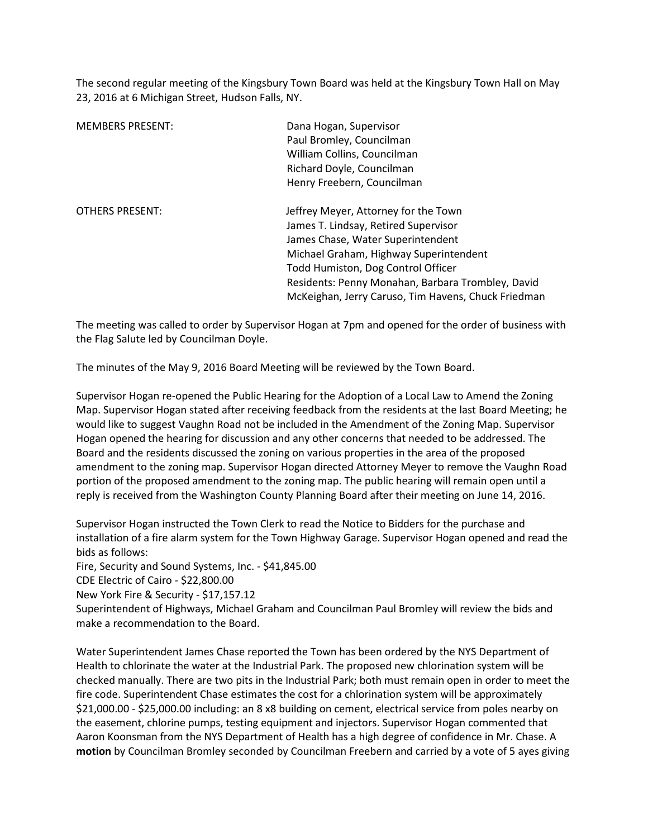The second regular meeting of the Kingsbury Town Board was held at the Kingsbury Town Hall on May 23, 2016 at 6 Michigan Street, Hudson Falls, NY.

| <b>MEMBERS PRESENT:</b> | Dana Hogan, Supervisor<br>Paul Bromley, Councilman<br>William Collins, Councilman<br>Richard Doyle, Councilman<br>Henry Freebern, Councilman                                                                                                                                                                  |
|-------------------------|---------------------------------------------------------------------------------------------------------------------------------------------------------------------------------------------------------------------------------------------------------------------------------------------------------------|
| <b>OTHERS PRESENT:</b>  | Jeffrey Meyer, Attorney for the Town<br>James T. Lindsay, Retired Supervisor<br>James Chase, Water Superintendent<br>Michael Graham, Highway Superintendent<br>Todd Humiston, Dog Control Officer<br>Residents: Penny Monahan, Barbara Trombley, David<br>McKeighan, Jerry Caruso, Tim Havens, Chuck Friedman |

The meeting was called to order by Supervisor Hogan at 7pm and opened for the order of business with the Flag Salute led by Councilman Doyle.

The minutes of the May 9, 2016 Board Meeting will be reviewed by the Town Board.

Supervisor Hogan re-opened the Public Hearing for the Adoption of a Local Law to Amend the Zoning Map. Supervisor Hogan stated after receiving feedback from the residents at the last Board Meeting; he would like to suggest Vaughn Road not be included in the Amendment of the Zoning Map. Supervisor Hogan opened the hearing for discussion and any other concerns that needed to be addressed. The Board and the residents discussed the zoning on various properties in the area of the proposed amendment to the zoning map. Supervisor Hogan directed Attorney Meyer to remove the Vaughn Road portion of the proposed amendment to the zoning map. The public hearing will remain open until a reply is received from the Washington County Planning Board after their meeting on June 14, 2016.

Supervisor Hogan instructed the Town Clerk to read the Notice to Bidders for the purchase and installation of a fire alarm system for the Town Highway Garage. Supervisor Hogan opened and read the bids as follows:

Fire, Security and Sound Systems, Inc. - \$41,845.00

CDE Electric of Cairo - \$22,800.00

New York Fire & Security - \$17,157.12

Superintendent of Highways, Michael Graham and Councilman Paul Bromley will review the bids and make a recommendation to the Board.

Water Superintendent James Chase reported the Town has been ordered by the NYS Department of Health to chlorinate the water at the Industrial Park. The proposed new chlorination system will be checked manually. There are two pits in the Industrial Park; both must remain open in order to meet the fire code. Superintendent Chase estimates the cost for a chlorination system will be approximately \$21,000.00 - \$25,000.00 including: an 8 x8 building on cement, electrical service from poles nearby on the easement, chlorine pumps, testing equipment and injectors. Supervisor Hogan commented that Aaron Koonsman from the NYS Department of Health has a high degree of confidence in Mr. Chase. A **motion** by Councilman Bromley seconded by Councilman Freebern and carried by a vote of 5 ayes giving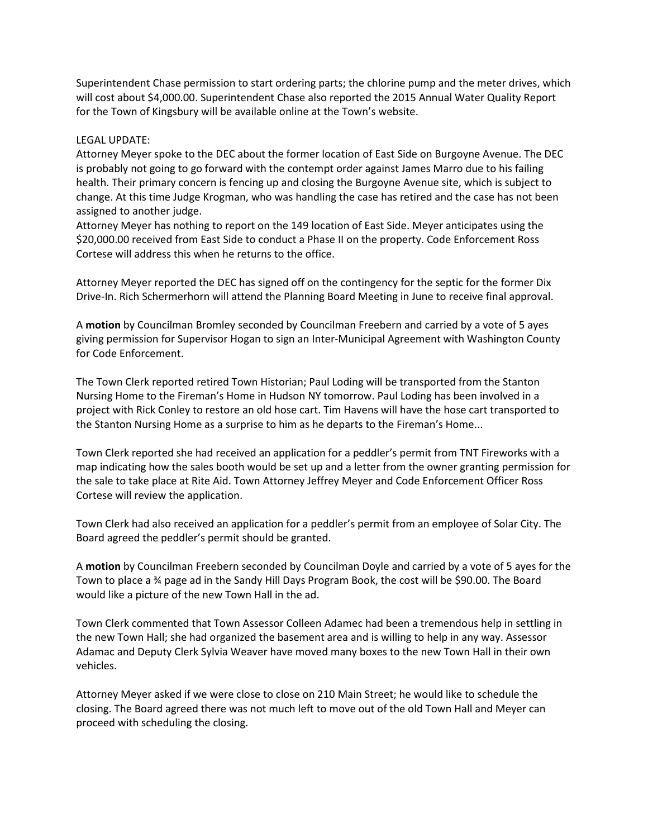Superintendent Chase permission to start ordering parts; the chlorine pump and the meter drives, which will cost about \$4,000.00. Superintendent Chase also reported the 2015 Annual Water Quality Report for the Town of Kingsbury will be available online at the Town's website.

## LEGAL UPDATE:

Attorney Meyer spoke to the DEC about the former location of East Side on Burgoyne Avenue. The DEC is probably not going to go forward with the contempt order against James Marro due to his failing health. Their primary concern is fencing up and closing the Burgoyne Avenue site, which is subject to change. At this time Judge Krogman, who was handling the case has retired and the case has not been assigned to another judge.

Attorney Meyer has nothing to report on the 149 location of East Side. Meyer anticipates using the \$20,000.00 received from East Side to conduct a Phase II on the property. Code Enforcement Ross Cortese will address this when he returns to the office.

Attorney Meyer reported the DEC has signed off on the contingency for the septic for the former Dix Drive-In. Rich Schermerhorn will attend the Planning Board Meeting in June to receive final approval.

A **motion** by Councilman Bromley seconded by Councilman Freebern and carried by a vote of 5 ayes giving permission for Supervisor Hogan to sign an Inter-Municipal Agreement with Washington County for Code Enforcement.

The Town Clerk reported retired Town Historian; Paul Loding will be transported from the Stanton Nursing Home to the Fireman's Home in Hudson NY tomorrow. Paul Loding has been involved in a project with Rick Conley to restore an old hose cart. Tim Havens will have the hose cart transported to the Stanton Nursing Home as a surprise to him as he departs to the Fireman's Home...

Town Clerk reported she had received an application for a peddler's permit from TNT Fireworks with a map indicating how the sales booth would be set up and a letter from the owner granting permission for the sale to take place at Rite Aid. Town Attorney Jeffrey Meyer and Code Enforcement Officer Ross Cortese will review the application.

Town Clerk had also received an application for a peddler's permit from an employee of Solar City. The Board agreed the peddler's permit should be granted.

A **motion** by Councilman Freebern seconded by Councilman Doyle and carried by a vote of 5 ayes for the Town to place a ¾ page ad in the Sandy Hill Days Program Book, the cost will be \$90.00. The Board would like a picture of the new Town Hall in the ad.

Town Clerk commented that Town Assessor Colleen Adamec had been a tremendous help in settling in the new Town Hall; she had organized the basement area and is willing to help in any way. Assessor Adamac and Deputy Clerk Sylvia Weaver have moved many boxes to the new Town Hall in their own vehicles.

Attorney Meyer asked if we were close to close on 210 Main Street; he would like to schedule the closing. The Board agreed there was not much left to move out of the old Town Hall and Meyer can proceed with scheduling the closing.